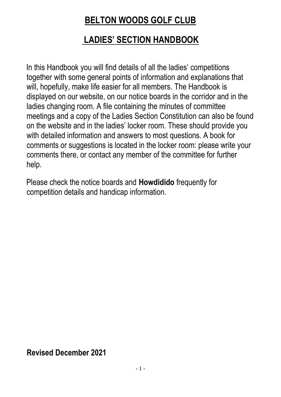# **BELTON WOODS GOLF CLUB**

# **LADIES' SECTION HANDBOOK**

In this Handbook you will find details of all the ladies' competitions together with some general points of information and explanations that will, hopefully, make life easier for all members. The Handbook is displayed on our website, on our notice boards in the corridor and in the ladies changing room. A file containing the minutes of committee meetings and a copy of the Ladies Section Constitution can also be found on the website and in the ladies' locker room. These should provide you with detailed information and answers to most questions. A book for comments or suggestions is located in the locker room: please write your comments there, or contact any member of the committee for further help.

Please check the notice boards and **Howdidido** frequently for competition details and handicap information.

**Revised December 2021**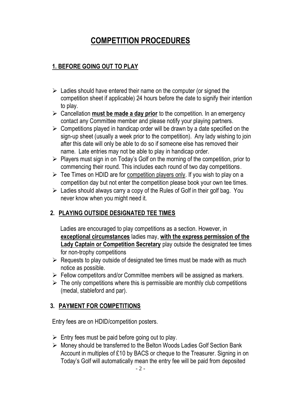# **COMPETITION PROCEDURES**

## **1. BEFORE GOING OUT TO PLAY**

- $\triangleright$  Ladies should have entered their name on the computer (or signed the competition sheet if applicable) 24 hours before the date to signify their intention to play.
- ➢ Cancellation **must be made a day prior** to the competition. In an emergency contact any Committee member and please notify your playing partners.
- $\triangleright$  Competitions played in handicap order will be drawn by a date specified on the sign-up sheet (usually a week prior to the competition). Any lady wishing to join after this date will only be able to do so if someone else has removed their name. Late entries may not be able to play in handicap order.
- $\triangleright$  Players must sign in on Today's Golf on the morning of the competition, prior to commencing their round. This includes each round of two day competitions.
- $\triangleright$  Tee Times on HDID are for competition players only. If you wish to play on a competition day but not enter the competition please book your own tee times.
- $\triangleright$  Ladies should always carry a copy of the Rules of Golf in their golf bag. You never know when you might need it.

# **2. PLAYING OUTSIDE DESIGNATED TEE TIMES**

Ladies are encouraged to play competitions as a section. However, in **exceptional circumstances** ladies may, **with the express permission of the Lady Captain or Competition Secretary** play outside the designated tee times for non-trophy competitions

- $\triangleright$  Requests to play outside of designated tee times must be made with as much notice as possible.
- $\triangleright$  Fellow competitors and/or Committee members will be assigned as markers.
- $\triangleright$  The only competitions where this is permissible are monthly club competitions (medal, stableford and par).

### **3. PAYMENT FOR COMPETITIONS**

Entry fees are on HDID/competition posters.

- $\triangleright$  Entry fees must be paid before going out to play.
- ➢ Money should be transferred to the Belton Woods Ladies Golf Section Bank Account in multiples of £10 by BACS or cheque to the Treasurer. Signing in on Today's Golf will automatically mean the entry fee will be paid from deposited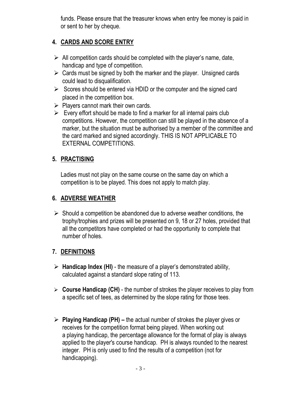funds. Please ensure that the treasurer knows when entry fee money is paid in or sent to her by cheque.

## **4. CARDS AND SCORE ENTRY**

- $\triangleright$  All competition cards should be completed with the player's name, date, handicap and type of competition.
- $\triangleright$  Cards must be signed by both the marker and the player. Unsigned cards could lead to disqualification.
- $\triangleright$  Scores should be entered via HDID or the computer and the signed card placed in the competition box.
- $\triangleright$  Players cannot mark their own cards.
- $\triangleright$  Every effort should be made to find a marker for all internal pairs club competitions. However, the competition can still be played in the absence of a marker, but the situation must be authorised by a member of the committee and the card marked and signed accordingly. THIS IS NOT APPLICABLE TO EXTERNAL COMPETITIONS.

## **5. PRACTISING**

Ladies must not play on the same course on the same day on which a competition is to be played. This does not apply to match play.

### **6. ADVERSE WEATHER**

 $\triangleright$  Should a competition be abandoned due to adverse weather conditions, the trophy/trophies and prizes will be presented on 9, 18 or 27 holes, provided that all the competitors have completed or had the opportunity to complete that number of holes.

# **7. DEFINITIONS**

- ➢ **Handicap Index (HI)** the measure of a player's demonstrated ability, calculated against a standard slope rating of 113.
- ➢ **Course Handicap (CH)** the number of strokes the player receives to play from a specific set of tees, as determined by the slope rating for those tees.
- ➢ **Playing Handicap (PH) –** the actual number of strokes the player gives or receives for the competition format being played. When working out a playing handicap, the percentage allowance for the format of play is always applied to the player's course handicap. PH is always rounded to the nearest integer. PH is only used to find the results of a competition (not for handicapping).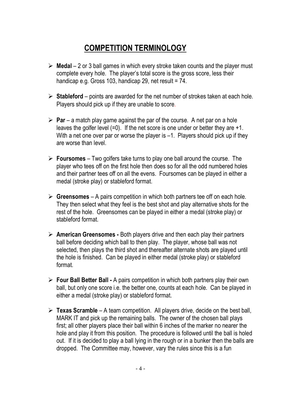# **COMPETITION TERMINOLOGY**

- ➢ **Medal**  2 or 3 ball games in which every stroke taken counts and the player must complete every hole. The player's total score is the gross score, less their handicap e.g. Gross 103, handicap 29, net result = 74.
- ➢ **Stableford** points are awarded for the net number of strokes taken at each hole. Players should pick up if they are unable to score*.*
- ➢ **Par**  a match play game against the par of the course. A net par on a hole leaves the golfer level  $(=0)$ . If the net score is one under or better they are  $+1$ . With a net one over par or worse the player is  $-1$ . Players should pick up if they are worse than level.
- ➢ **Foursomes**  Two golfers take turns to play one ball around the course. The player who tees off on the first hole then does so for all the odd numbered holes and their partner tees off on all the evens. Foursomes can be played in either a medal (stroke play) or stableford format.
- ➢ **Greensomes** A pairs competition in which both partners tee off on each hole. They then select what they feel is the best shot and play alternative shots for the rest of the hole. Greensomes can be played in either a medal (stroke play) or stableford format.
- ➢ **American Greensomes -** Both players drive and then each play their partners ball before deciding which ball to then play. The player, whose ball was not selected, then plays the third shot and thereafter alternate shots are played until the hole is finished. Can be played in either medal (stroke play) or stableford format.
- ➢ **Four Ball Better Ball -** A pairs competition in which both partners play their own ball, but only one score i.e. the better one, counts at each hole. Can be played in either a medal (stroke play) or stableford format.
- ➢ **Texas Scramble**  A team competition. All players drive, decide on the best ball, MARK IT and pick up the remaining balls. The owner of the chosen ball plays first; all other players place their ball within 6 inches of the marker no nearer the hole and play it from this position. The procedure is followed until the ball is holed out. If it is decided to play a ball lying in the rough or in a bunker then the balls are dropped. The Committee may, however, vary the rules since this is a fun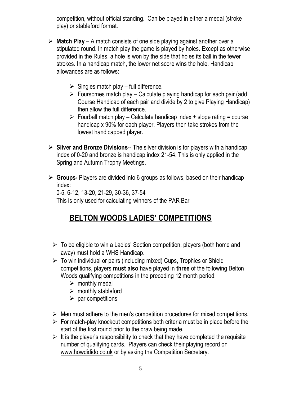competition, without official standing. Can be played in either a medal (stroke play) or stableford format.

- ➢ **Match Play** A match consists of one side playing against another over a stipulated round. In match play the game is played by holes. Except as otherwise provided in the Rules, a hole is won by the side that holes its ball in the fewer strokes. In a handicap match, the lower net score wins the hole. Handicap allowances are as follows:
	- $\triangleright$  Singles match play full difference.
	- $\triangleright$  Foursomes match play Calculate playing handicap for each pair (add Course Handicap of each pair and divide by 2 to give Playing Handicap) then allow the full difference.
	- $\triangleright$  Fourball match play Calculate handicap index + slope rating = course handicap x 90% for each player. Players then take strokes from the lowest handicapped player.
- ➢ **Silver and Bronze Divisions**-- The silver division is for players with a handicap index of 0-20 and bronze is handicap index 21-54. This is only applied in the Spring and Autumn Trophy Meetings.
- ➢ **Groups-** Players are divided into 6 groups as follows, based on their handicap index:

0-5, 6-12, 13-20, 21-29, 30-36, 37-54 This is only used for calculating winners of the PAR Bar

# **BELTON WOODS LADIES' COMPETITIONS**

- $\triangleright$  To be eligible to win a Ladies' Section competition, players (both home and away) must hold a WHS Handicap.
- $\triangleright$  To win individual or pairs (including mixed) Cups, Trophies or Shield competitions, players **must also** have played in **three** of the following Belton Woods qualifying competitions in the preceding 12 month period:
	- $\triangleright$  monthly medal
	- $\triangleright$  monthly stableford
	- $\triangleright$  par competitions
- $\triangleright$  Men must adhere to the men's competition procedures for mixed competitions.
- $\triangleright$  For match-play knockout competitions both criteria must be in place before the start of the first round prior to the draw being made.
- $\triangleright$  It is the player's responsibility to check that they have completed the requisite number of qualifying cards. Players can check their playing record on [www.howdidido.co.uk](http://www.howdidido.co.uk/) or by asking the Competition Secretary.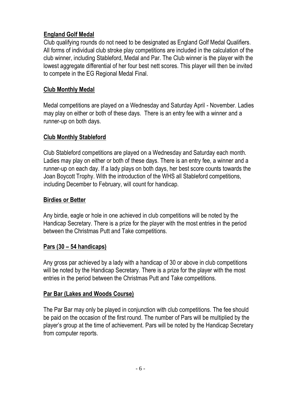## **England Golf Medal**

Club qualifying rounds do not need to be designated as England Golf Medal Qualifiers. All forms of individual club stroke play competitions are included in the calculation of the club winner, including Stableford, Medal and Par. The Club winner is the player with the lowest aggregate differential of her four best nett scores. This player will then be invited to compete in the EG Regional Medal Final.

## **Club Monthly Medal**

Medal competitions are played on a Wednesday and Saturday April - November. Ladies may play on either or both of these days. There is an entry fee with a winner and a runner-up on both days.

#### **Club Monthly Stableford**

Club Stableford competitions are played on a Wednesday and Saturday each month. Ladies may play on either or both of these days. There is an entry fee, a winner and a runner-up on each day. If a lady plays on both days, her best score counts towards the Joan Boycott Trophy. With the introduction of the WHS all Stableford competitions, including December to February, will count for handicap.

#### **Birdies or Better**

Any birdie, eagle or hole in one achieved in club competitions will be noted by the Handicap Secretary. There is a prize for the player with the most entries in the period between the Christmas Putt and Take competitions.

#### **Pars (30 – 54 handicaps)**

Any gross par achieved by a lady with a handicap of 30 or above in club competitions will be noted by the Handicap Secretary. There is a prize for the player with the most entries in the period between the Christmas Putt and Take competitions.

#### **Par Bar (Lakes and Woods Course)**

The Par Bar may only be played in conjunction with club competitions. The fee should be paid on the occasion of the first round. The number of Pars will be multiplied by the player's group at the time of achievement. Pars will be noted by the Handicap Secretary from computer reports.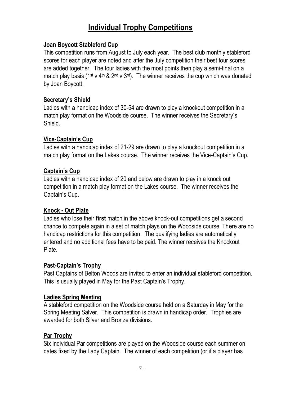# **Individual Trophy Competitions**

#### **Joan Boycott Stableford Cup**

This competition runs from August to July each year. The best club monthly stableford scores for each player are noted and after the July competition their best four scores are added together*.* The four ladies with the most points then play a semi-final on a match play basis (1<sup>st</sup> y 4<sup>th</sup> & 2<sup>nd</sup> y 3<sup>rd</sup>). The winner receives the cup which was donated by Joan Boycott.

#### **Secretary's Shield**

Ladies with a handicap index of 30-54 are drawn to play a knockout competition in a match play format on the Woodside course. The winner receives the Secretary's Shield.

#### **Vice-Captain's Cup**

Ladies with a handicap index of 21-29 are drawn to play a knockout competition in a match play format on the Lakes course. The winner receives the Vice-Captain's Cup.

#### **Captain's Cup**

Ladies with a handicap index of 20 and below are drawn to play in a knock out competition in a match play format on the Lakes course. The winner receives the Captain's Cup.

#### **Knock - Out Plate**

Ladies who lose their **first** match in the above knock-out competitions get a second chance to compete again in a set of match plays on the Woodside course. There are no handicap restrictions for this competition. The qualifying ladies are automatically entered and no additional fees have to be paid. The winner receives the Knockout Plate.

#### **Past-Captain's Trophy**

Past Captains of Belton Woods are invited to enter an individual stableford competition. This is usually played in May for the Past Captain's Trophy.

#### **Ladies Spring Meeting**

A stableford competition on the Woodside course held on a Saturday in May for the Spring Meeting Salver. This competition is drawn in handicap order. Trophies are awarded for both Silver and Bronze divisions.

### **Par Trophy**

Six individual Par competitions are played on the Woodside course each summer on dates fixed by the Lady Captain. The winner of each competition (or if a player has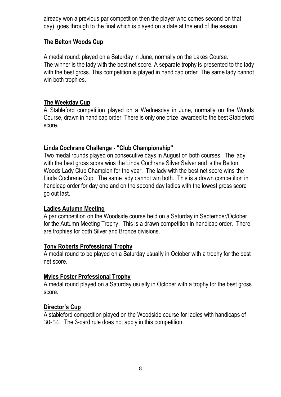already won a previous par competition then the player who comes second on that day), goes through to the final which is played on a date at the end of the season.

#### **The Belton Woods Cup**

A medal round: played on a Saturday in June, normally on the Lakes Course. The winner is the lady with the best net score. A separate trophy is presented to the lady with the best gross. This competition is played in handicap order. The same lady cannot win both trophies.

#### **The Weekday Cup**

A Stableford competition played on a Wednesday in June, normally on the Woods Course, drawn in handicap order. There is only one prize, awarded to the best Stableford score.

#### **Linda Cochrane Challenge - "Club Championship"**

Two medal rounds played on consecutive days in August on both courses. The lady with the best gross score wins the Linda Cochrane Silver Salver and is the Belton Woods Lady Club Champion for the year. The lady with the best net score wins the Linda Cochrane Cup. The same lady cannot win both. This is a drawn competition in handicap order for day one and on the second day ladies with the lowest gross score go out last.

#### **Ladies Autumn Meeting**

A par competition on the Woodside course held on a Saturday in September/October for the Autumn Meeting Trophy. This is a drawn competition in handicap order. There are trophies for both Silver and Bronze divisions.

#### **Tony Roberts Professional Trophy**

A medal round to be played on a Saturday usually in October with a trophy for the best net score.

#### **Myles Foster Professional Trophy**

A medal round played on a Saturday usually in October with a trophy for the best gross score.

#### **Director's Cup**

A stableford competition played on the Woodside course for ladies with handicaps of 30-54. The 3-card rule does not apply in this competition.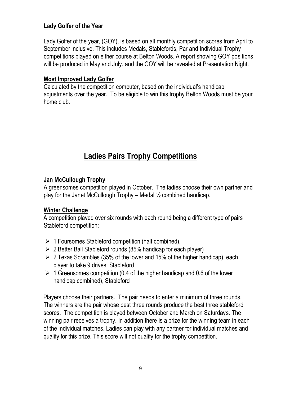### **Lady Golfer of the Year**

Lady Golfer of the year, (GOY), is based on all monthly competition scores from April to September inclusive. This includes Medals, Stablefords, Par and Individual Trophy competitions played on either course at Belton Woods. A report showing GOY positions will be produced in May and July, and the GOY will be revealed at Presentation Night.

#### **Most Improved Lady Golfer**

Calculated by the competition computer, based on the individual's handicap adjustments over the year. To be eligible to win this trophy Belton Woods must be your home club.

# **Ladies Pairs Trophy Competitions**

#### **Jan McCullough Trophy**

A greensomes competition played in October. The ladies choose their own partner and play for the Janet McCullough Trophy – Medal  $\frac{1}{2}$  combined handicap.

#### **Winter Challenge**

A competition played over six rounds with each round being a different type of pairs Stableford competition:

- $\triangleright$  1 Foursomes Stableford competition (half combined),
- $\geq 2$  Better Ball Stableford rounds (85% handicap for each player)
- $\geq 2$  Texas Scrambles (35% of the lower and 15% of the higher handicap), each player to take 9 drives, Stableford
- $\geq 1$  Greensomes competition (0.4 of the higher handicap and 0.6 of the lower handicap combined), Stableford

Players choose their partners. The pair needs to enter a minimum of three rounds. The winners are the pair whose best three rounds produce the best three stableford scores. The competition is played between October and March on Saturdays. The winning pair receives a trophy. In addition there is a prize for the winning team in each of the individual matches. Ladies can play with any partner for individual matches and qualify for this prize. This score will not qualify for the trophy competition.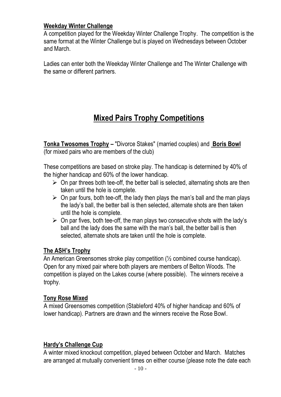#### **Weekday Winter Challenge**

A competition played for the Weekday Winter Challenge Trophy. The competition is the same format at the Winter Challenge but is played on Wednesdays between October and March.

Ladies can enter both the Weekday Winter Challenge and The Winter Challenge with the same or different partners.

# **Mixed Pairs Trophy Competitions**

**Tonka Twosomes Trophy –** "Divorce Stakes" (married couples) and **Boris Bowl** (for mixed pairs who are members of the club)

These competitions are based on stroke play. The handicap is determined by 40% of the higher handicap and 60% of the lower handicap.

- $\triangleright$  On par threes both tee-off, the better ball is selected, alternating shots are then taken until the hole is complete.
- $\triangleright$  On par fours, both tee-off, the lady then plays the man's ball and the man plays the lady's ball, the better ball is then selected, alternate shots are then taken until the hole is complete.
- $\triangleright$  On par fives, both tee-off, the man plays two consecutive shots with the lady's ball and the lady does the same with the man's ball, the better ball is then selected, alternate shots are taken until the hole is complete.

#### **The ASH's Trophy**

An American Greensomes stroke play competition (½ combined course handicap). Open for any mixed pair where both players are members of Belton Woods. The competition is played on the Lakes course (where possible). The winners receive a trophy.

#### **Tony Rose Mixed**

A mixed Greensomes competition (Stableford 40% of higher handicap and 60% of lower handicap). Partners are drawn and the winners receive the Rose Bowl.

#### **Hardy's Challenge Cup**

A winter mixed knockout competition, played between October and March. Matches are arranged at mutually convenient times on either course (please note the date each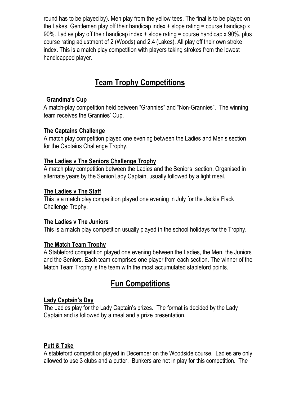round has to be played by). Men play from the yellow tees. The final is to be played on the Lakes. Gentlemen play off their handicap index + slope rating = course handicap x 90%. Ladies play off their handicap index + slope rating = course handicap x 90%, plus course rating adjustment of 2 (Woods) and 2.4 (Lakes). All play off their own stroke index. This is a match play competition with players taking strokes from the lowest handicapped player.

# **Team Trophy Competitions**

#### **Grandma's Cup**

A [match-play](http://www.beltonwoodsladies.co.uk/html/terminology.html#Matchplay) competition held between "Grannies" and "Non-Grannies". The winning team receives the Grannies' Cup.

#### **The Captains Challenge**

A match play competition played one evening between the Ladies and Men's section for the Captains Challenge Trophy.

#### **The Ladies v The Seniors Challenge Trophy**

A match play competition between the Ladies and the Seniors section. Organised in alternate years by the Senior/Lady Captain, usually followed by a light meal.

#### **The Ladies v The Staff**

This is a match play competition played one evening in July for the Jackie Flack Challenge Trophy.

#### **The Ladies v The Juniors**

This is a match play competition usually played in the school holidays for the Trophy.

#### **The Match Team Trophy**

A Stableford competition played one evening between the Ladies, the Men, the Juniors and the Seniors. Each team comprises one player from each section. The winner of the Match Team Trophy is the team with the most accumulated stableford points.

# **Fun Competitions**

#### **Lady Captain's Day**

The Ladies play for the Lady Captain's prizes. The format is decided by the Lady Captain and is followed by a meal and a prize presentation.

#### **Putt & Take**

A stableford competition played in December on the Woodside course. Ladies are only allowed to use 3 clubs and a putter. Bunkers are not in play for this competition. The